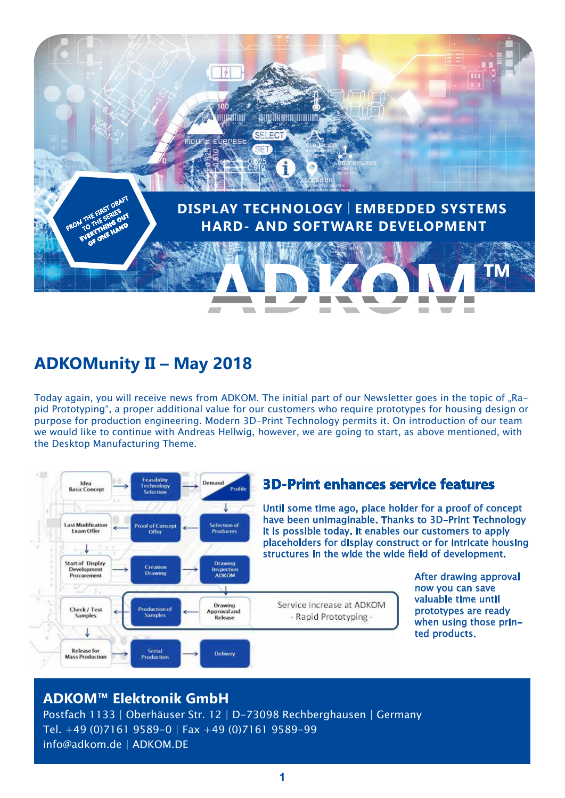

# **ADKOMunity II – May 2018**

Today again, you will receive news from ADKOM. The initial part of our Newsletter goes in the topic of "Rapid Prototyping", a proper additional value for our customers who require prototypes for housing design or purpose for production engineering. Modern 3D-Print Technology permits it. On introduction of our team we would like to continue with Andreas Hellwig, however, we are going to start, as above mentioned, with the Desktop Manufacturing Theme.



### **3D-Print enhances service features**

- Rapid Prototyping -

Until some time ago, place holder for a proof of concept have been unimaginable. Thanks to 3D-Print Technology it is possible today. It enables our customers to apply placeholders for display construct or for intricate housing structures in the wide the wide field of development.

> After drawing approval now you can save valuable time until prototypes are ready when using those printed products.

### **ADKOM™ Elektronik GmbH**

Postfach 1133 | Oberhäuser Str. 12 | D-73098 Rechberghausen | Germany Tel. +49 (0)7161 9589-0 | Fax +49 (0)7161 9589-99 info@adkom.de | ADKOM.DE